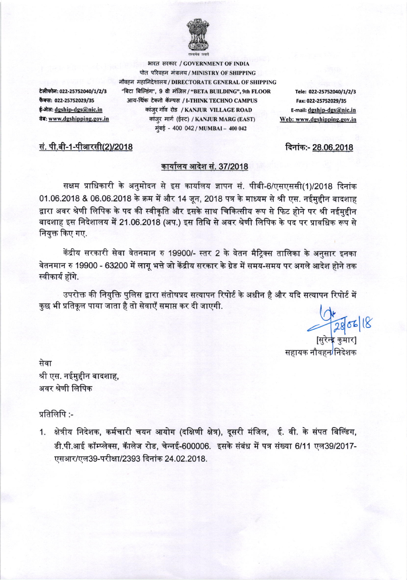

टेलीफोन: 022-25752040/1/2/3 फैक्स: 022-25752029/35 ई-मेलः dgship-dgs@nic.in वेब: www.dgshipping.gov.in

सं. पी.बी-1-पीआरसी(2)/2018

भारत सरकार / GOVERNMENT OF INDIA पोत परिवहन मंत्रालय / MINISTRY OF SHIPPING नौवहन महानिदेशालय / DIRECTORATE GENERAL OF SHIPPING "बिटा बिल्डिंग", 9 वी मंजिल / "BETA BUILDING", 9th FLOOR आय-थिंक टेक्नो कॅम्पस / I-THINK TECHNO CAMPUS कांज़ुर गाँव रोड / KANJUR VILLAGE ROAD कांजुर मार्ग (ईस्ट) / KANJUR MARG (EAST) मुंबई - 400 042 / MUMBAI - 400 042

Tele: 022-25752040/1/2/3 Fax: 022-25752029/35 E-mail: dgship-dgs@nic.in Web: www.dgshipping.gov.in

दिनांक:- 28.06.2018

## कार्यालय आदेश सं. 37/2018

सक्षम प्राधिकारी के अनुमोदन से इस कार्यालय ज्ञापन सं. पीबी-6/एसएससी(1)/2018 दिनांक 01.06.2018 & 06.06.2018 के क्रम में और 14 जून, 2018 पत्र के माध्यम से श्री एस. नईमुद्दीन बादशाह द्वारा अवर श्रेणी लिपिक के पद की स्वीकृति और इसके साथ चिकित्सीय रूप से फिट होने पर श्री नईमुद्दीन बादशाह इस निदेशालय में 21.06.2018 (अप.) इस तिथि से अवर श्रेणी लिपिक के पद पर प्रावधिक रूप से नियुक्त किए गए.

केंद्रीय सरकारी सेवा वेतनमान रु 19900/- स्तर 2 के वेतन मैटिक्स तालिका के अनुसार इनका वेतनमान रु 19900 - 63200 में लागू भत्ते जो केंद्रीय सरकार के ग्रेड में समय-समय पर अगले आदेश होने तक स्वीकार्य होंगे.

उपरोक्त की नियुक्ति पुलिस द्वारा संतोषप्रद सत्यापन रिपोर्ट के अधीन है और यदि सत्यापन रिपोर्ट में कुछ भी प्रतिकूल पाया जाता है तो सेवाएँ समाप्त कर दी जाएगी.

परेक कुमार]<br>[सुरेक कुमार] सहायक नौवहन<sup>/</sup>निदेशक

सेवा श्री एस. नईमुद्दीन बादशाह, अवर श्रेणी लिपिक

## प्रतिलिपि $:$ -

1. क्षेत्रीय निदेशक, कर्मचारी चयन आयोग (दक्षिणी क्षेत्र), दूसरी मंजिल, ई. वी. के संपत बिल्डिंग, डी.पी.आई कॉम्प्लेक्स, कॅालेज रोड, चेन्नई-600006. इसके संबंध में पत्र संख्या 6/11 एल39/2017-एसआर/एल39-परीक्षा/2393 दिनांक 24.02.2018.